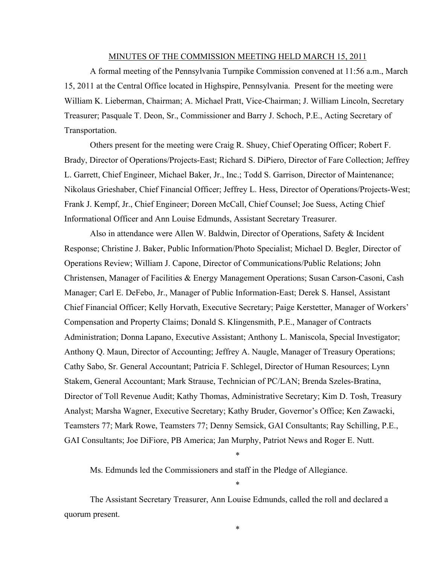#### MINUTES OF THE COMMISSION MEETING HELD MARCH 15, 2011

A formal meeting of the Pennsylvania Turnpike Commission convened at 11:56 a.m., March 15, 2011 at the Central Office located in Highspire, Pennsylvania. Present for the meeting were William K. Lieberman, Chairman; A. Michael Pratt, Vice-Chairman; J. William Lincoln, Secretary Treasurer; Pasquale T. Deon, Sr., Commissioner and Barry J. Schoch, P.E., Acting Secretary of Transportation.

Others present for the meeting were Craig R. Shuey, Chief Operating Officer; Robert F. Brady, Director of Operations/Projects-East; Richard S. DiPiero, Director of Fare Collection; Jeffrey L. Garrett, Chief Engineer, Michael Baker, Jr., Inc.; Todd S. Garrison, Director of Maintenance; Nikolaus Grieshaber, Chief Financial Officer; Jeffrey L. Hess, Director of Operations/Projects-West; Frank J. Kempf, Jr., Chief Engineer; Doreen McCall, Chief Counsel; Joe Suess, Acting Chief Informational Officer and Ann Louise Edmunds, Assistant Secretary Treasurer.

Also in attendance were Allen W. Baldwin, Director of Operations, Safety & Incident Response; Christine J. Baker, Public Information/Photo Specialist; Michael D. Begler, Director of Operations Review; William J. Capone, Director of Communications/Public Relations; John Christensen, Manager of Facilities & Energy Management Operations; Susan Carson-Casoni, Cash Manager; Carl E. DeFebo, Jr., Manager of Public Information-East; Derek S. Hansel, Assistant Chief Financial Officer; Kelly Horvath, Executive Secretary; Paige Kerstetter, Manager of Workers' Compensation and Property Claims; Donald S. Klingensmith, P.E., Manager of Contracts Administration; Donna Lapano, Executive Assistant; Anthony L. Maniscola, Special Investigator; Anthony Q. Maun, Director of Accounting; Jeffrey A. Naugle, Manager of Treasury Operations; Cathy Sabo, Sr. General Accountant; Patricia F. Schlegel, Director of Human Resources; Lynn Stakem, General Accountant; Mark Strause, Technician of PC/LAN; Brenda Szeles-Bratina, Director of Toll Revenue Audit; Kathy Thomas, Administrative Secretary; Kim D. Tosh, Treasury Analyst; Marsha Wagner, Executive Secretary; Kathy Bruder, Governor's Office; Ken Zawacki, Teamsters 77; Mark Rowe, Teamsters 77; Denny Semsick, GAI Consultants; Ray Schilling, P.E., GAI Consultants; Joe DiFiore, PB America; Jan Murphy, Patriot News and Roger E. Nutt.

Ms. Edmunds led the Commissioners and staff in the Pledge of Allegiance.

The Assistant Secretary Treasurer, Ann Louise Edmunds, called the roll and declared a quorum present.

\*

\*

\*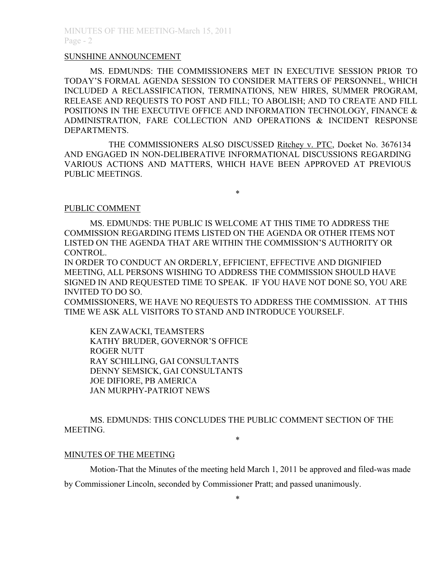#### SUNSHINE ANNOUNCEMENT

MS. EDMUNDS: THE COMMISSIONERS MET IN EXECUTIVE SESSION PRIOR TO TODAY'S FORMAL AGENDA SESSION TO CONSIDER MATTERS OF PERSONNEL, WHICH INCLUDED A RECLASSIFICATION, TERMINATIONS, NEW HIRES, SUMMER PROGRAM, RELEASE AND REQUESTS TO POST AND FILL; TO ABOLISH; AND TO CREATE AND FILL POSITIONS IN THE EXECUTIVE OFFICE AND INFORMATION TECHNOLOGY, FINANCE & ADMINISTRATION, FARE COLLECTION AND OPERATIONS & INCIDENT RESPONSE DEPARTMENTS.

THE COMMISSIONERS ALSO DISCUSSED Ritchey v. PTC, Docket No. 3676134 AND ENGAGED IN NON-DELIBERATIVE INFORMATIONAL DISCUSSIONS REGARDING VARIOUS ACTIONS AND MATTERS, WHICH HAVE BEEN APPROVED AT PREVIOUS PUBLIC MEETINGS.

\*

### PUBLIC COMMENT

MS. EDMUNDS: THE PUBLIC IS WELCOME AT THIS TIME TO ADDRESS THE COMMISSION REGARDING ITEMS LISTED ON THE AGENDA OR OTHER ITEMS NOT LISTED ON THE AGENDA THAT ARE WITHIN THE COMMISSION'S AUTHORITY OR CONTROL.

IN ORDER TO CONDUCT AN ORDERLY, EFFICIENT, EFFECTIVE AND DIGNIFIED MEETING, ALL PERSONS WISHING TO ADDRESS THE COMMISSION SHOULD HAVE SIGNED IN AND REQUESTED TIME TO SPEAK. IF YOU HAVE NOT DONE SO, YOU ARE INVITED TO DO SO.

COMMISSIONERS, WE HAVE NO REQUESTS TO ADDRESS THE COMMISSION. AT THIS TIME WE ASK ALL VISITORS TO STAND AND INTRODUCE YOURSELF.

KEN ZAWACKI, TEAMSTERS KATHY BRUDER, GOVERNOR'S OFFICE ROGER NUTT RAY SCHILLING, GAI CONSULTANTS DENNY SEMSICK, GAI CONSULTANTS JOE DIFIORE, PB AMERICA JAN MURPHY-PATRIOT NEWS

MS. EDMUNDS: THIS CONCLUDES THE PUBLIC COMMENT SECTION OF THE MEETING. \*

### MINUTES OF THE MEETING

Motion-That the Minutes of the meeting held March 1, 2011 be approved and filed-was made

by Commissioner Lincoln, seconded by Commissioner Pratt; and passed unanimously.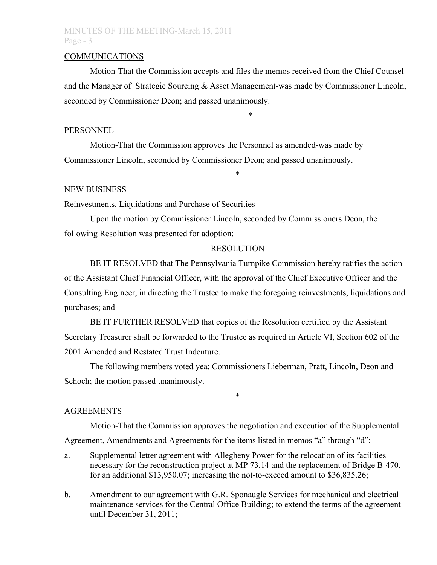## MINUTES OF THE MEETING-March 15, 2011 Page - 3

#### COMMUNICATIONS

Motion-That the Commission accepts and files the memos received from the Chief Counsel and the Manager of Strategic Sourcing & Asset Management-was made by Commissioner Lincoln, seconded by Commissioner Deon; and passed unanimously.

\*

#### PERSONNEL

Motion-That the Commission approves the Personnel as amended-was made by Commissioner Lincoln, seconded by Commissioner Deon; and passed unanimously.

#### NEW BUSINESS

#### Reinvestments, Liquidations and Purchase of Securities

Upon the motion by Commissioner Lincoln, seconded by Commissioners Deon, the following Resolution was presented for adoption:

#### RESOLUTION

\*

BE IT RESOLVED that The Pennsylvania Turnpike Commission hereby ratifies the action of the Assistant Chief Financial Officer, with the approval of the Chief Executive Officer and the Consulting Engineer, in directing the Trustee to make the foregoing reinvestments, liquidations and purchases; and

BE IT FURTHER RESOLVED that copies of the Resolution certified by the Assistant Secretary Treasurer shall be forwarded to the Trustee as required in Article VI, Section 602 of the 2001 Amended and Restated Trust Indenture.

The following members voted yea: Commissioners Lieberman, Pratt, Lincoln, Deon and Schoch; the motion passed unanimously.

\*

#### AGREEMENTS

Motion-That the Commission approves the negotiation and execution of the Supplemental Agreement, Amendments and Agreements for the items listed in memos "a" through "d":

- a. Supplemental letter agreement with Allegheny Power for the relocation of its facilities necessary for the reconstruction project at MP 73.14 and the replacement of Bridge B-470, for an additional \$13,950.07; increasing the not-to-exceed amount to \$36,835.26;
- b. Amendment to our agreement with G.R. Sponaugle Services for mechanical and electrical maintenance services for the Central Office Building; to extend the terms of the agreement until December 31, 2011;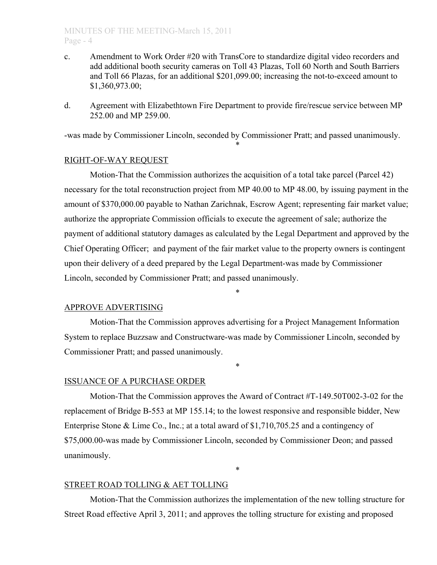### MINUTES OF THE MEETING-March 15, 2011 Page - 4

- c. Amendment to Work Order #20 with TransCore to standardize digital video recorders and add additional booth security cameras on Toll 43 Plazas, Toll 60 North and South Barriers and Toll 66 Plazas, for an additional \$201,099.00; increasing the not-to-exceed amount to \$1,360,973.00;
- d. Agreement with Elizabethtown Fire Department to provide fire/rescue service between MP 252.00 and MP 259.00.

-was made by Commissioner Lincoln, seconded by Commissioner Pratt; and passed unanimously.

\*

### RIGHT-OF-WAY REQUEST

Motion-That the Commission authorizes the acquisition of a total take parcel (Parcel 42) necessary for the total reconstruction project from MP 40.00 to MP 48.00, by issuing payment in the amount of \$370,000.00 payable to Nathan Zarichnak, Escrow Agent; representing fair market value; authorize the appropriate Commission officials to execute the agreement of sale; authorize the payment of additional statutory damages as calculated by the Legal Department and approved by the Chief Operating Officer; and payment of the fair market value to the property owners is contingent upon their delivery of a deed prepared by the Legal Department-was made by Commissioner Lincoln, seconded by Commissioner Pratt; and passed unanimously.

\*

### APPROVE ADVERTISING

Motion-That the Commission approves advertising for a Project Management Information System to replace Buzzsaw and Constructware-was made by Commissioner Lincoln, seconded by Commissioner Pratt; and passed unanimously.

\*

### ISSUANCE OF A PURCHASE ORDER

Motion-That the Commission approves the Award of Contract #T-149.50T002-3-02 for the replacement of Bridge B-553 at MP 155.14; to the lowest responsive and responsible bidder, New Enterprise Stone & Lime Co., Inc.; at a total award of \$1,710,705.25 and a contingency of \$75,000.00-was made by Commissioner Lincoln, seconded by Commissioner Deon; and passed unanimously.

### STREET ROAD TOLLING & AET TOLLING

Motion-That the Commission authorizes the implementation of the new tolling structure for Street Road effective April 3, 2011; and approves the tolling structure for existing and proposed

\*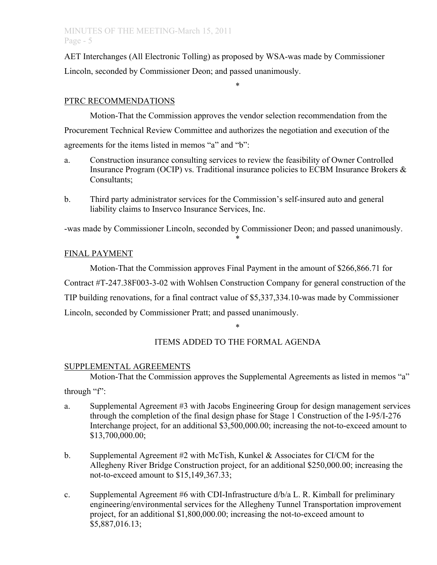AET Interchanges (All Electronic Tolling) as proposed by WSA-was made by Commissioner Lincoln, seconded by Commissioner Deon; and passed unanimously.

\*

## PTRC RECOMMENDATIONS

Motion-That the Commission approves the vendor selection recommendation from the Procurement Technical Review Committee and authorizes the negotiation and execution of the agreements for the items listed in memos "a" and "b":

- a. Construction insurance consulting services to review the feasibility of Owner Controlled Insurance Program (OCIP) vs. Traditional insurance policies to ECBM Insurance Brokers  $\&$ Consultants;
- b. Third party administrator services for the Commission's self-insured auto and general liability claims to Inservco Insurance Services, Inc.

-was made by Commissioner Lincoln, seconded by Commissioner Deon; and passed unanimously. \*

## FINAL PAYMENT

Motion-That the Commission approves Final Payment in the amount of \$266,866.71 for Contract #T-247.38F003-3-02 with Wohlsen Construction Company for general construction of the TIP building renovations, for a final contract value of \$5,337,334.10-was made by Commissioner Lincoln, seconded by Commissioner Pratt; and passed unanimously.

\*

# ITEMS ADDED TO THE FORMAL AGENDA

## SUPPLEMENTAL AGREEMENTS

Motion-That the Commission approves the Supplemental Agreements as listed in memos "a"

through "f":

- a. Supplemental Agreement #3 with Jacobs Engineering Group for design management services through the completion of the final design phase for Stage 1 Construction of the I-95/I-276 Interchange project, for an additional \$3,500,000.00; increasing the not-to-exceed amount to \$13,700,000.00;
- b. Supplemental Agreement #2 with McTish, Kunkel & Associates for CI/CM for the Allegheny River Bridge Construction project, for an additional \$250,000.00; increasing the not-to-exceed amount to \$15,149,367.33;
- c. Supplemental Agreement #6 with CDI-Infrastructure  $d/b/a$  L. R. Kimball for preliminary engineering/environmental services for the Allegheny Tunnel Transportation improvement project, for an additional \$1,800,000.00; increasing the not-to-exceed amount to \$5,887,016.13;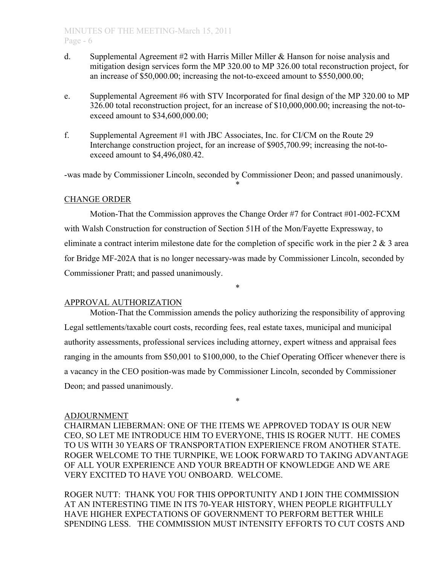- d. Supplemental Agreement #2 with Harris Miller Miller & Hanson for noise analysis and mitigation design services form the MP 320.00 to MP 326.00 total reconstruction project, for an increase of \$50,000.00; increasing the not-to-exceed amount to \$550,000.00;
- e. Supplemental Agreement #6 with STV Incorporated for final design of the MP 320.00 to MP 326.00 total reconstruction project, for an increase of \$10,000,000.00; increasing the not-toexceed amount to \$34,600,000.00;
- f. Supplemental Agreement #1 with JBC Associates, Inc. for CI/CM on the Route 29 Interchange construction project, for an increase of \$905,700.99; increasing the not-toexceed amount to \$4,496,080.42.

-was made by Commissioner Lincoln, seconded by Commissioner Deon; and passed unanimously. \*

### CHANGE ORDER

Motion-That the Commission approves the Change Order #7 for Contract #01-002-FCXM with Walsh Construction for construction of Section 51H of the Mon/Fayette Expressway, to eliminate a contract interim milestone date for the completion of specific work in the pier  $2 \& 3$  area for Bridge MF-202A that is no longer necessary-was made by Commissioner Lincoln, seconded by Commissioner Pratt; and passed unanimously.

\*

### APPROVAL AUTHORIZATION

Motion-That the Commission amends the policy authorizing the responsibility of approving Legal settlements/taxable court costs, recording fees, real estate taxes, municipal and municipal authority assessments, professional services including attorney, expert witness and appraisal fees ranging in the amounts from \$50,001 to \$100,000, to the Chief Operating Officer whenever there is a vacancy in the CEO position-was made by Commissioner Lincoln, seconded by Commissioner Deon; and passed unanimously.

### ADJOURNMENT

CHAIRMAN LIEBERMAN: ONE OF THE ITEMS WE APPROVED TODAY IS OUR NEW CEO, SO LET ME INTRODUCE HIM TO EVERYONE, THIS IS ROGER NUTT. HE COMES TO US WITH 30 YEARS OF TRANSPORTATION EXPERIENCE FROM ANOTHER STATE. ROGER WELCOME TO THE TURNPIKE, WE LOOK FORWARD TO TAKING ADVANTAGE OF ALL YOUR EXPERIENCE AND YOUR BREADTH OF KNOWLEDGE AND WE ARE VERY EXCITED TO HAVE YOU ONBOARD. WELCOME.

\*

ROGER NUTT: THANK YOU FOR THIS OPPORTUNITY AND I JOIN THE COMMISSION AT AN INTERESTING TIME IN ITS 70-YEAR HISTORY, WHEN PEOPLE RIGHTFULLY HAVE HIGHER EXPECTATIONS OF GOVERNMENT TO PERFORM BETTER WHILE SPENDING LESS. THE COMMISSION MUST INTENSITY EFFORTS TO CUT COSTS AND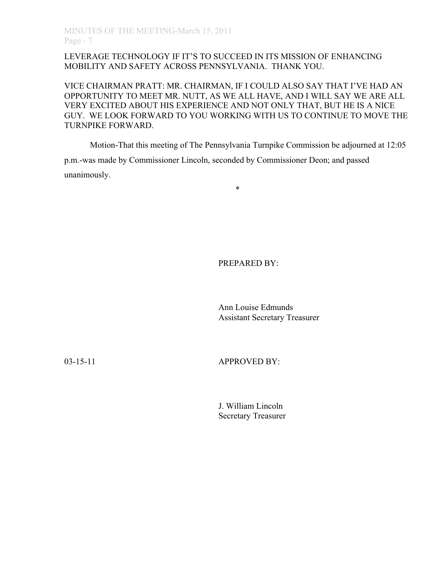## LEVERAGE TECHNOLOGY IF IT'S TO SUCCEED IN ITS MISSION OF ENHANCING MOBILITY AND SAFETY ACROSS PENNSYLVANIA. THANK YOU.

VICE CHAIRMAN PRATT: MR. CHAIRMAN, IF I COULD ALSO SAY THAT I'VE HAD AN OPPORTUNITY TO MEET MR. NUTT, AS WE ALL HAVE, AND I WILL SAY WE ARE ALL VERY EXCITED ABOUT HIS EXPERIENCE AND NOT ONLY THAT, BUT HE IS A NICE GUY. WE LOOK FORWARD TO YOU WORKING WITH US TO CONTINUE TO MOVE THE TURNPIKE FORWARD.

\*

Motion-That this meeting of The Pennsylvania Turnpike Commission be adjourned at 12:05

p.m.-was made by Commissioner Lincoln, seconded by Commissioner Deon; and passed unanimously.

PREPARED BY:

Ann Louise Edmunds Assistant Secretary Treasurer

03-15-11 **APPROVED BY:** 

J. William Lincoln Secretary Treasurer